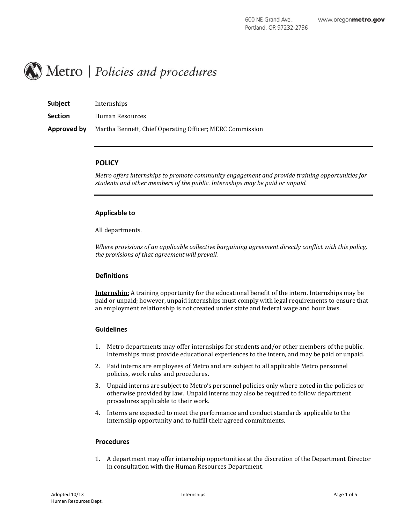

| <b>Subject</b> | Internships                                              |
|----------------|----------------------------------------------------------|
| <b>Section</b> | Human Resources                                          |
| Approved by    | Martha Bennett, Chief Operating Officer; MERC Commission |

### **POLICY**

*Metro offers internships to promote community engagement and provide training opportunities for students and other members of the public. Internships may be paid or unpaid.*

#### **Applicable to**

All departments.

*Where provisions of an applicable collective bargaining agreement directly conflict with this policy, the provisions of that agreement will prevail.*

#### **Definitions**

**Internship:** A training opportunity for the educational benefit of the intern. Internships may be paid or unpaid; however, unpaid internships must comply with legal requirements to ensure that an employment relationship is not created under state and federal wage and hour laws.

#### **Guidelines**

- 1. Metro departments may offer internships for students and/or other members of the public. Internships must provide educational experiences to the intern, and may be paid or unpaid.
- 2. Paid interns are employees of Metro and are subject to all applicable Metro personnel policies, work rules and procedures.
- 3. Unpaid interns are subject to Metro's personnel policies only where noted in the policies or otherwise provided by law. Unpaid interns may also be required to follow department procedures applicable to their work.
- 4. Interns are expected to meet the performance and conduct standards applicable to the internship opportunity and to fulfill their agreed commitments.

#### **Procedures**

1. A department may offer internship opportunities at the discretion of the Department Director in consultation with the Human Resources Department.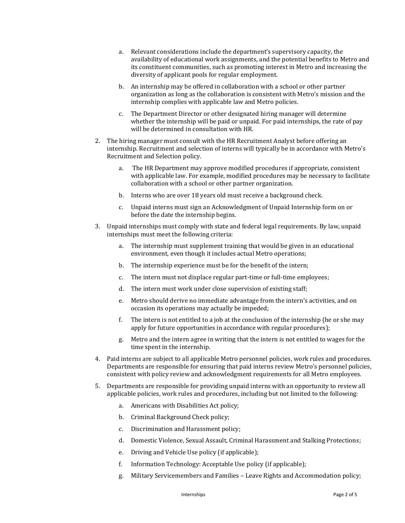- a. Relevant considerations include the department's supervisory capacity, the availability of educational work assignments, and the potential benefits to Metro and its constituent communities, such as promoting interest in Metro and increasing the diversity of applicant pools for regular employment.
- b. An internship may be offered in collaboration with a school or other partner organization as long as the collaboration is consistent with Metro's mission and the internship complies with applicable law and Metro policies.
- c. The Department Director or other designated hiring manager will determine whether the internship will be paid or unpaid. For paid internships, the rate of pay will be determined in consultation with HR.
- 2. The hiring manager must consult with the HR Recruitment Analyst before offering an internship. Recruitment and selection of interns will typically be in accordance with Metro's Recruitment and Selection policy.
	- a. The HR Department may approve modified procedures if appropriate, consistent with applicable law. For example, modified procedures may be necessary to facilitate collaboration with a school or other partner organization.
	- b. Interns who are over 18 years old must receive a background check.
	- c. Unpaid interns must sign an Acknowledgment of Unpaid Internship form on or before the date the internship begins.
- 3. Unpaid internships must comply with state and federal legal requirements. By law, unpaid internships must meet the following criteria:
	- a. The internship must supplement training that would be given in an educational environment, even though it includes actual Metro operations;
	- b. The internship experience must be for the benefit of the intern;
	- c. The intern must not displace regular part-time or full-time employees;
	- d. The intern must work under close supervision of existing staff;
	- e. Metro should derive no immediate advantage from the intern's activities, and on occasion its operations may actually be impeded;
	- f. The intern is not entitled to a job at the conclusion of the internship (he or she may apply for future opportunities in accordance with regular procedures);
	- g. Metro and the intern agree in writing that the intern is not entitled to wages for the time spent in the internship.
- 4. Paid interns are subject to all applicable Metro personnel policies, work rules and procedures. Departments are responsible for ensuring that paid interns review Metro's personnel policies, consistent with policy review and acknowledgment requirements for all Metro employees.
- 5. Departments are responsible for providing unpaid interns with an opportunity to review all applicable policies, work rules and procedures, including but not limited to the following:
	- a. Americans with Disabilities Act policy;
	- b. Criminal Background Check policy;
	- c. Discrimination and Harassment policy;
	- d. Domestic Violence, Sexual Assault, Criminal Harassment and Stalking Protections;
	- e. Driving and Vehicle Use policy (if applicable);
	- f. Information Technology: Acceptable Use policy (if applicable);
	- g. Military Servicemembers and Families Leave Rights and Accommodation policy;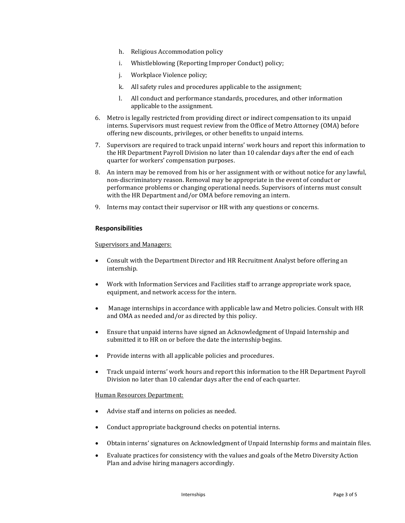- h. Religious Accommodation policy
- i. Whistleblowing (Reporting Improper Conduct) policy;
- j. Workplace Violence policy;
- k. All safety rules and procedures applicable to the assignment;
- l. All conduct and performance standards, procedures, and other information applicable to the assignment.
- 6. Metro is legally restricted from providing direct or indirect compensation to its unpaid interns. Supervisors must request review from the Office of Metro Attorney (OMA) before offering new discounts, privileges, or other benefits to unpaid interns.
- 7. Supervisors are required to track unpaid interns' work hours and report this information to the HR Department Payroll Division no later than 10 calendar days after the end of each quarter for workers' compensation purposes.
- 8. An intern may be removed from his or her assignment with or without notice for any lawful, non-discriminatory reason. Removal may be appropriate in the event of conduct or performance problems or changing operational needs. Supervisors of interns must consult with the HR Department and/or OMA before removing an intern.
- 9. Interns may contact their supervisor or HR with any questions or concerns.

#### **Responsibilities**

Supervisors and Managers:

- Consult with the Department Director and HR Recruitment Analyst before offering an internship.
- Work with Information Services and Facilities staff to arrange appropriate work space, equipment, and network access for the intern.
- Manage internships in accordance with applicable law and Metro policies. Consult with HR and OMA as needed and/or as directed by this policy.
- Ensure that unpaid interns have signed an Acknowledgment of Unpaid Internship and submitted it to HR on or before the date the internship begins.
- Provide interns with all applicable policies and procedures.
- Track unpaid interns' work hours and report this information to the HR Department Payroll Division no later than 10 calendar days after the end of each quarter.

#### Human Resources Department:

- Advise staff and interns on policies as needed.
- Conduct appropriate background checks on potential interns.
- Obtain interns' signatures on Acknowledgment of Unpaid Internship forms and maintain files.
- Evaluate practices for consistency with the values and goals of the Metro Diversity Action Plan and advise hiring managers accordingly.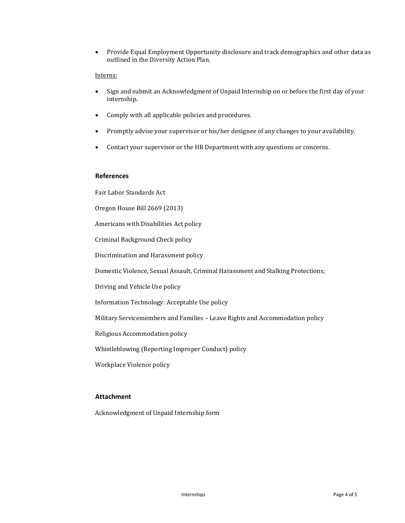Provide Equal Employment Opportunity disclosure and track demographics and other data as outlined in the Diversity Action Plan.

## Interns:

- Sign and submit an Acknowledgment of Unpaid Internship on or before the first day of your internship.
- Comply with all applicable policies and procedures.
- Promptly advise your supervisor or his/her designee of any changes to your availability.
- Contact your supervisor or the HR Department with any questions or concerns.

#### **References**

Fair Labor Standards Act

Oregon House Bill 2669 (2013)

Americans with Disabilities Act policy

Criminal Background Check policy

Discrimination and Harassment policy

Domestic Violence, Sexual Assault, Criminal Harassment and Stalking Protections;

Driving and Vehicle Use policy

Information Technology: Acceptable Use policy

Military Servicemembers and Families – Leave Rights and Accommodation policy

Religious Accommodation policy

Whistleblowing (Reporting Improper Conduct) policy

Workplace Violence policy

## **Attachment**

Acknowledgment of Unpaid Internship form